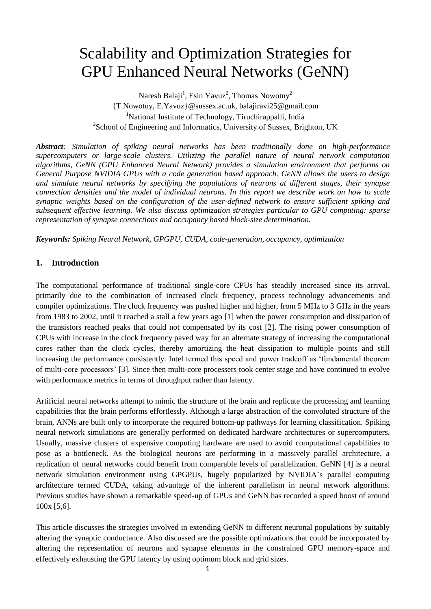# Scalability and Optimization Strategies for GPU Enhanced Neural Networks (GeNN)

Naresh Balaji<sup>1</sup>, Esin Yavuz<sup>2</sup>, Thomas Nowotny<sup>2</sup> [{T.Nowotny,](mailto:T.Nowotny@sussex.ac.uk) [E.Yavuz}](mailto:E.Yavuz@sussex.ac.uk)@sussex.ac.uk, [balajiravi25@gmail.com](mailto:balajiravi25@gmail.com) <sup>1</sup>National Institute of Technology, Tiruchirappalli, India <sup>2</sup>School of Engineering and Informatics, University of Sussex, Brighton, UK

*Abstract: Simulation of spiking neural networks has been traditionally done on high-performance supercomputers or large-scale clusters. Utilizing the parallel nature of neural network computation algorithms, GeNN (GPU Enhanced Neural Network) provides a simulation environment that performs on General Purpose NVIDIA GPUs with a code generation based approach. GeNN allows the users to design and simulate neural networks by specifying the populations of neurons at different stages, their synapse connection densities and the model of individual neurons. In this report we describe work on how to scale synaptic weights based on the configuration of the user-defined network to ensure sufficient spiking and subsequent effective learning. We also discuss optimization strategies particular to GPU computing: sparse representation of synapse connections and occupancy based block-size determination.*

*Keywords: Spiking Neural Network, GPGPU, CUDA, code-generation, occupancy, optimization*

# **1. Introduction**

The computational performance of traditional single-core CPUs has steadily increased since its arrival, primarily due to the combination of increased clock frequency, process technology advancements and compiler optimizations. The clock frequency was pushed higher and higher, from 5 MHz to 3 GHz in the years from 1983 to 2002, until it reached a stall a few years ago [1] when the power consumption and dissipation of the transistors reached peaks that could not compensated by its cost [2]. The rising power consumption of CPUs with increase in the clock frequency paved way for an alternate strategy of increasing the computational cores rather than the clock cycles, thereby amortizing the heat dissipation to multiple points and still increasing the performance consistently. Intel termed this speed and power tradeoff as 'fundamental theorem of multi-core processors' [3]. Since then multi-core processers took center stage and have continued to evolve with performance metrics in terms of throughput rather than latency.

Artificial neural networks attempt to mimic the structure of the brain and replicate the processing and learning capabilities that the brain performs effortlessly. Although a large abstraction of the convoluted structure of the brain, ANNs are built only to incorporate the required bottom-up pathways for learning classification. Spiking neural network simulations are generally performed on dedicated hardware architectures or supercomputers. Usually, massive clusters of expensive computing hardware are used to avoid computational capabilities to pose as a bottleneck. As the biological neurons are performing in a massively parallel architecture, a replication of neural networks could benefit from comparable levels of parallelization. GeNN [4] is a neural network simulation environment using GPGPUs, hugely popularized by NVIDIA's parallel computing architecture termed CUDA, taking advantage of the inherent parallelism in neural network algorithms. Previous studies have shown a remarkable speed-up of GPUs and GeNN has recorded a speed boost of around 100x [5,6].

This article discusses the strategies involved in extending GeNN to different neuronal populations by suitably altering the synaptic conductance. Also discussed are the possible optimizations that could be incorporated by altering the representation of neurons and synapse elements in the constrained GPU memory-space and effectively exhausting the GPU latency by using optimum block and grid sizes.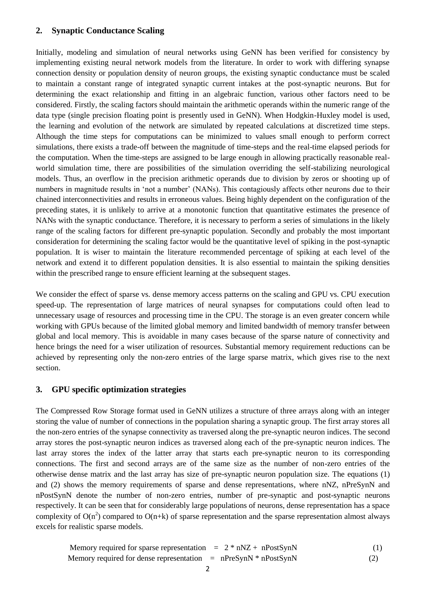## **2. Synaptic Conductance Scaling**

Initially, modeling and simulation of neural networks using GeNN has been verified for consistency by implementing existing neural network models from the literature. In order to work with differing synapse connection density or population density of neuron groups, the existing synaptic conductance must be scaled to maintain a constant range of integrated synaptic current intakes at the post-synaptic neurons. But for determining the exact relationship and fitting in an algebraic function, various other factors need to be considered. Firstly, the scaling factors should maintain the arithmetic operands within the numeric range of the data type (single precision floating point is presently used in GeNN). When Hodgkin-Huxley model is used, the learning and evolution of the network are simulated by repeated calculations at discretized time steps. Although the time steps for computations can be minimized to values small enough to perform correct simulations, there exists a trade-off between the magnitude of time-steps and the real-time elapsed periods for the computation. When the time-steps are assigned to be large enough in allowing practically reasonable realworld simulation time, there are possibilities of the simulation overriding the self-stabilizing neurological models. Thus, an overflow in the precision arithmetic operands due to division by zeros or shooting up of numbers in magnitude results in 'not a number' (NANs). This contagiously affects other neurons due to their chained interconnectivities and results in erroneous values. Being highly dependent on the configuration of the preceding states, it is unlikely to arrive at a monotonic function that quantitative estimates the presence of NANs with the synaptic conductance. Therefore, it is necessary to perform a series of simulations in the likely range of the scaling factors for different pre-synaptic population. Secondly and probably the most important consideration for determining the scaling factor would be the quantitative level of spiking in the post-synaptic population. It is wiser to maintain the literature recommended percentage of spiking at each level of the network and extend it to different population densities. It is also essential to maintain the spiking densities within the prescribed range to ensure efficient learning at the subsequent stages.

We consider the effect of sparse vs. dense memory access patterns on the scaling and GPU vs. CPU execution speed-up. The representation of large matrices of neural synapses for computations could often lead to unnecessary usage of resources and processing time in the CPU. The storage is an even greater concern while working with GPUs because of the limited global memory and limited bandwidth of memory transfer between global and local memory. This is avoidable in many cases because of the sparse nature of connectivity and hence brings the need for a wiser utilization of resources. Substantial memory requirement reductions can be achieved by representing only the non-zero entries of the large sparse matrix, which gives rise to the next section.

## **3. GPU specific optimization strategies**

The Compressed Row Storage format used in GeNN utilizes a structure of three arrays along with an integer storing the value of number of connections in the population sharing a synaptic group. The first array stores all the non-zero entries of the synapse connectivity as traversed along the pre-synaptic neuron indices. The second array stores the post-synaptic neuron indices as traversed along each of the pre-synaptic neuron indices. The last array stores the index of the latter array that starts each pre-synaptic neuron to its corresponding connections. The first and second arrays are of the same size as the number of non-zero entries of the otherwise dense matrix and the last array has size of pre-synaptic neuron population size. The equations (1) and (2) shows the memory requirements of sparse and dense representations, where nNZ, nPreSynN and nPostSynN denote the number of non-zero entries, number of pre-synaptic and post-synaptic neurons respectively. It can be seen that for considerably large populations of neurons, dense representation has a space complexity of  $O(n^2)$  compared to  $O(n+k)$  of sparse representation and the sparse representation almost always excels for realistic sparse models.

Memory required for sparse representation 
$$
= 2 * nNZ + nPostSynN
$$
 (1)  
\nMemory required for dense representation  $= nPreSynN * nPostSynN$  (2)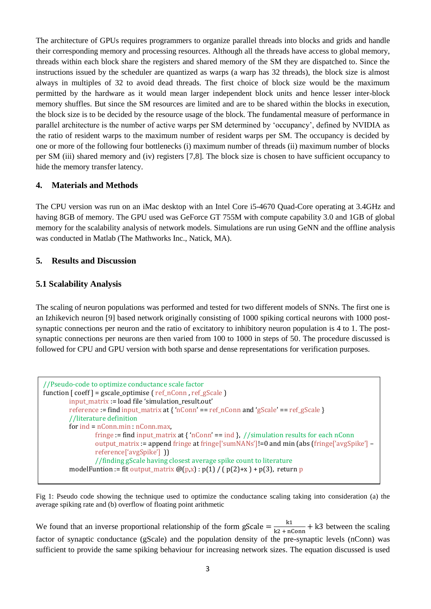The architecture of GPUs requires programmers to organize parallel threads into blocks and grids and handle their corresponding memory and processing resources. Although all the threads have access to global memory, threads within each block share the registers and shared memory of the SM they are dispatched to. Since the instructions issued by the scheduler are quantized as warps (a warp has 32 threads), the block size is almost always in multiples of 32 to avoid dead threads. The first choice of block size would be the maximum permitted by the hardware as it would mean larger independent block units and hence lesser inter-block memory shuffles. But since the SM resources are limited and are to be shared within the blocks in execution, the block size is to be decided by the resource usage of the block. The fundamental measure of performance in parallel architecture is the number of active warps per SM determined by 'occupancy', defined by NVIDIA as the ratio of resident warps to the maximum number of resident warps per SM. The occupancy is decided by one or more of the following four bottlenecks (i) maximum number of threads (ii) maximum number of blocks per SM (iii) shared memory and (iv) registers [7,8]. The block size is chosen to have sufficient occupancy to hide the memory transfer latency.

# **4. Materials and Methods**

The CPU version was run on an iMac desktop with an Intel Core i5-4670 Quad-Core operating at 3.4GHz and having 8GB of memory. The GPU used was GeForce GT 755M with compute capability 3.0 and 1GB of global memory for the scalability analysis of network models. Simulations are run using GeNN and the offline analysis was conducted in Matlab (The Mathworks Inc., Natick, MA).

## **5. Results and Discussion**

# **5.1 Scalability Analysis**

The scaling of neuron populations was performed and tested for two different models of SNNs. The first one is an Izhikevich neuron [9] based network originally consisting of 1000 spiking cortical neurons with 1000 postsynaptic connections per neuron and the ratio of excitatory to inhibitory neuron population is 4 to 1. The postsynaptic connections per neurons are then varied from 100 to 1000 in steps of 50. The procedure discussed is followed for CPU and GPU version with both sparse and dense representations for verification purposes.

```
//Pseudo-code to optimize conductance scale factor
function \lceil \text{coeff} \rceil = gscale_optimise \lceil \text{ref} \rceil nConn, ref_gScale \rceilinput_matrix := load file 'simulation_result.out'
         reference := find input_matrix at { 'nConn' == ref_nConn and 'gScale' == ref_gScale }
         //literature definition
         for ind = nConn.min : nConn.max,
                  fringe := find input_matrix at { 'nConn' == ind }, //simulation results for each nConn
                  output_matrix := append fringe at fringe['sumNANs']!=0 and min (abs (fringe['avgSpike'] –
                  reference['avgSpike'] ))
                  //finding gScale having closest average spike count to literature
         modelFuntion := fit output_matrix \mathcal{Q}(p,x) : p(1) / (p(2)+x) + p(3), return p
```
Fig 1: Pseudo code showing the technique used to optimize the conductance scaling taking into consideration (a) the average spiking rate and (b) overflow of floating point arithmetic

We found that an inverse proportional relationship of the form gScale  $=\frac{k}{12.13}$  $\frac{k_1}{k_2 + n \text{Conn}}$  + k3 between the scaling factor of synaptic conductance (gScale) and the population density of the pre-synaptic levels (nConn) was sufficient to provide the same spiking behaviour for increasing network sizes. The equation discussed is used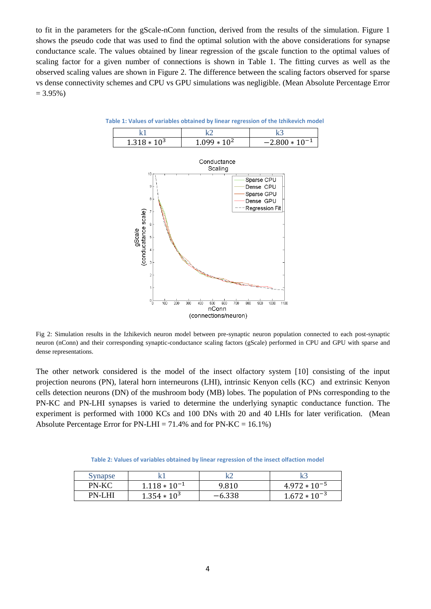to fit in the parameters for the gScale-nConn function, derived from the results of the simulation. Figure 1 shows the pseudo code that was used to find the optimal solution with the above considerations for synapse conductance scale. The values obtained by linear regression of the gscale function to the optimal values of scaling factor for a given number of connections is shown in Table 1. The fitting curves as well as the observed scaling values are shown in Figure 2. The difference between the scaling factors observed for sparse vs dense connectivity schemes and CPU vs GPU simulations was negligible. (Mean Absolute Percentage Error  $= 3.95\%$ )



**Table 1: Values of variables obtained by linear regression of the Izhikevich model**

Fig 2: Simulation results in the Izhikevich neuron model between pre-synaptic neuron population connected to each post-synaptic neuron (nConn) and their corresponding synaptic-conductance scaling factors (gScale) performed in CPU and GPU with sparse and dense representations.

The other network considered is the model of the insect olfactory system [10] consisting of the input projection neurons (PN), lateral horn interneurons (LHI), intrinsic Kenyon cells (KC) and extrinsic Kenyon cells detection neurons (DN) of the mushroom body (MB) lobes. The population of PNs corresponding to the PN-KC and PN-LHI synapses is varied to determine the underlying synaptic conductance function. The experiment is performed with 1000 KCs and 100 DNs with 20 and 40 LHIs for later verification. (Mean Absolute Percentage Error for  $PN-LHI = 71.4\%$  and for  $PN-KC = 16.1\%$ )

**Table 2: Values of variables obtained by linear regression of the insect olfaction model**

| Synapse | le.               |          |                   |
|---------|-------------------|----------|-------------------|
| PN-KC   | $1.118 * 10^{-1}$ | 9.810    | $4.972 * 10^{-5}$ |
| PN-LHI  | $1.354 * 10^3$    | $-6.338$ | $1.672 * 10^{-3}$ |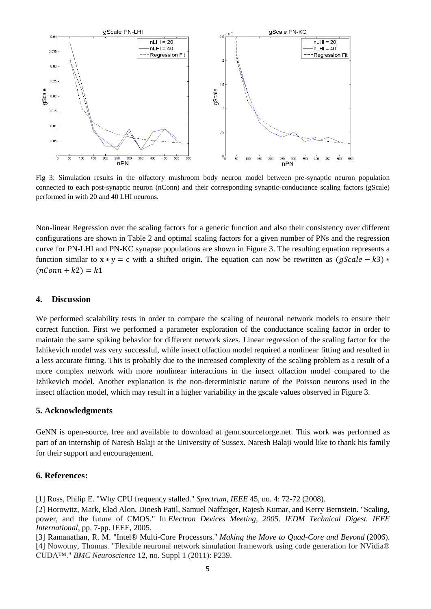

Fig 3: Simulation results in the olfactory mushroom body neuron model between pre-synaptic neuron population connected to each post-synaptic neuron (nConn) and their corresponding synaptic-conductance scaling factors (gScale) performed in with 20 and 40 LHI neurons.

Non-linear Regression over the scaling factors for a generic function and also their consistency over different configurations are shown in Table 2 and optimal scaling factors for a given number of PNs and the regression curve for PN-LHI and PN-KC synapse populations are shown in Figure 3. The resulting equation represents a function similar to  $x * y = c$  with a shifted origin. The equation can now be rewritten as  $(aScale - k3) *$  $(nConn + k2) = k1$ 

### **4. Discussion**

We performed scalability tests in order to compare the scaling of neuronal network models to ensure their correct function. First we performed a parameter exploration of the conductance scaling factor in order to maintain the same spiking behavior for different network sizes. Linear regression of the scaling factor for the Izhikevich model was very successful, while insect olfaction model required a nonlinear fitting and resulted in a less accurate fitting. This is probably due to the increased complexity of the scaling problem as a result of a more complex network with more nonlinear interactions in the insect olfaction model compared to the Izhikevich model. Another explanation is the non-deterministic nature of the Poisson neurons used in the insect olfaction model, which may result in a higher variability in the gscale values observed in Figure 3.

## **5. Acknowledgments**

GeNN is open-source, free and available to download at genn.sourceforge.net. This work was performed as part of an internship of Naresh Balaji at the University of Sussex. Naresh Balaji would like to thank his family for their support and encouragement.

### **6. References:**

[1] Ross, Philip E. "Why CPU frequency stalled." *Spectrum, IEEE* 45, no. 4: 72-72 (2008).

[2] Horowitz, Mark, Elad Alon, Dinesh Patil, Samuel Naffziger, Rajesh Kumar, and Kerry Bernstein. "Scaling, power, and the future of CMOS." In *Electron Devices Meeting, 2005. IEDM Technical Digest. IEEE International*, pp. 7-pp. IEEE, 2005.

[3] Ramanathan, R. M. "Intel® Multi-Core Processors." *Making the Move to Quad-Core and Beyond* (2006). [4] Nowotny, Thomas. "Flexible neuronal network simulation framework using code generation for NVidia® CUDA™." *BMC Neuroscience* 12, no. Suppl 1 (2011): P239.